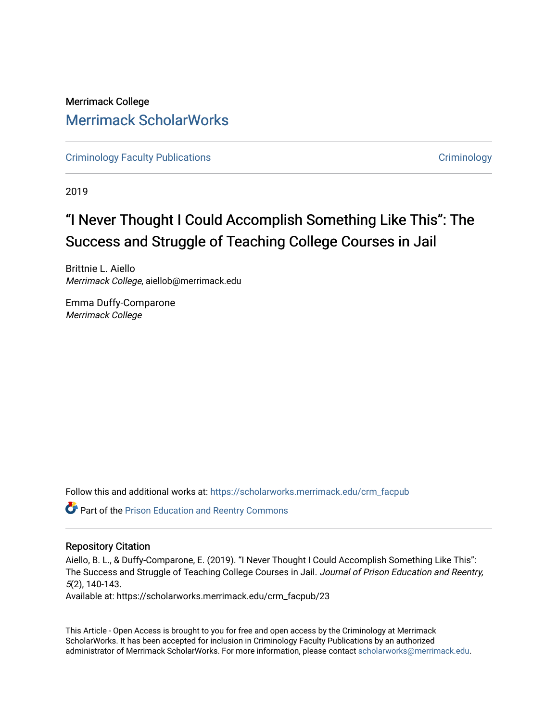# Merrimack College [Merrimack ScholarWorks](https://scholarworks.merrimack.edu/)

[Criminology Faculty Publications](https://scholarworks.merrimack.edu/crm_facpub) **Criminology** Criminology

2019

# "I Never Thought I Could Accomplish Something Like This": The Success and Struggle of Teaching College Courses in Jail

Brittnie L. Aiello Merrimack College, aiellob@merrimack.edu

Emma Duffy-Comparone Merrimack College

Follow this and additional works at: [https://scholarworks.merrimack.edu/crm\\_facpub](https://scholarworks.merrimack.edu/crm_facpub?utm_source=scholarworks.merrimack.edu%2Fcrm_facpub%2F23&utm_medium=PDF&utm_campaign=PDFCoverPages)

Part of the [Prison Education and Reentry Commons](http://network.bepress.com/hgg/discipline/1399?utm_source=scholarworks.merrimack.edu%2Fcrm_facpub%2F23&utm_medium=PDF&utm_campaign=PDFCoverPages)

## Repository Citation

Aiello, B. L., & Duffy-Comparone, E. (2019). "I Never Thought I Could Accomplish Something Like This": The Success and Struggle of Teaching College Courses in Jail. Journal of Prison Education and Reentry, 5(2), 140-143.

Available at: https://scholarworks.merrimack.edu/crm\_facpub/23

This Article - Open Access is brought to you for free and open access by the Criminology at Merrimack ScholarWorks. It has been accepted for inclusion in Criminology Faculty Publications by an authorized administrator of Merrimack ScholarWorks. For more information, please contact [scholarworks@merrimack.edu](mailto:scholarworks@merrimack.edu).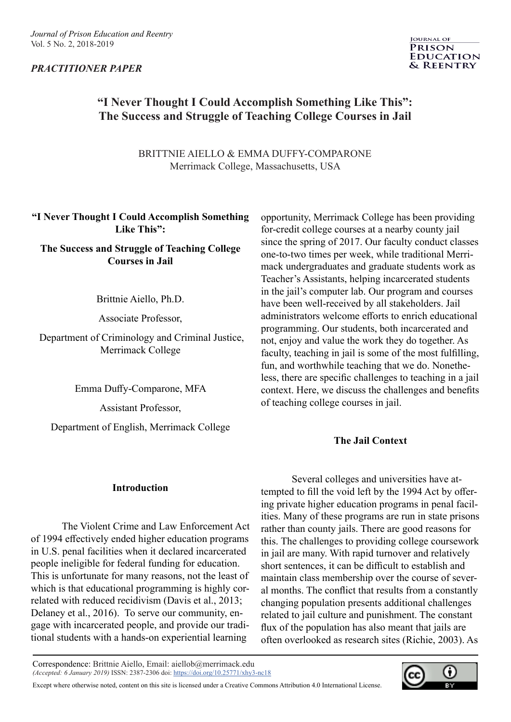# *PRACTITIONER PAPER*



# **"I Never Thought I Could Accomplish Something Like This": The Success and Struggle of Teaching College Courses in Jail**

BRITTNIE AIELLO & EMMA DUFFY-COMPARONE Merrimack College, Massachusetts, USA

 **"I Never Thought I Could Accomplish Something Like This":** 

**The Success and Struggle of Teaching College Courses in Jail**

Brittnie Aiello, Ph.D.

Associate Professor,

 Department of Criminology and Criminal Justice, Merrimack College

Emma Duffy-Comparone, MFA

Assistant Professor,

Department of English, Merrimack College

opportunity, Merrimack College has been providing for-credit college courses at a nearby county jail since the spring of 2017. Our faculty conduct classes one-to-two times per week, while traditional Merrimack undergraduates and graduate students work as Teacher's Assistants, helping incarcerated students in the jail's computer lab. Our program and courses have been well-received by all stakeholders. Jail administrators welcome efforts to enrich educational programming. Our students, both incarcerated and not, enjoy and value the work they do together. As faculty, teaching in jail is some of the most fulfilling, fun, and worthwhile teaching that we do. Nonetheless, there are specific challenges to teaching in a jail context. Here, we discuss the challenges and benefits of teaching college courses in jail.

# **The Jail Context**

## **Introduction**

The Violent Crime and Law Enforcement Act of 1994 effectively ended higher education programs in U.S. penal facilities when it declared incarcerated people ineligible for federal funding for education. This is unfortunate for many reasons, not the least of which is that educational programming is highly correlated with reduced recidivism (Davis et al., 2013; Delaney et al., 2016). To serve our community, engage with incarcerated people, and provide our traditional students with a hands-on experiential learning

Several colleges and universities have attempted to fill the void left by the 1994 Act by offering private higher education programs in penal facilities. Many of these programs are run in state prisons rather than county jails. There are good reasons for this. The challenges to providing college coursework in jail are many. With rapid turnover and relatively short sentences, it can be difficult to establish and maintain class membership over the course of several months. The conflict that results from a constantly changing population presents additional challenges related to jail culture and punishment. The constant flux of the population has also meant that jails are often overlooked as research sites (Richie, 2003). As

Correspondence: Brittnie Aiello, Email: aiellob@merrimack.edu *(Accepted: 6 January 2019)* ISSN: 2387-2306 doi: [https://doi.org/10.25771/xhy3-nc18](https://doi.org/10.25771/xhy3-nc18 )

Except where otherwise noted, content on this site is licensed under a Creative Commons Attribution 4.0 International License.

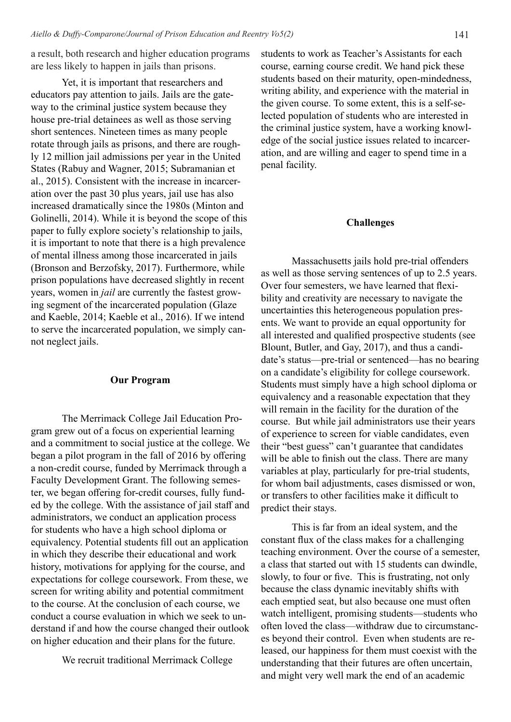a result, both research and higher education programs are less likely to happen in jails than prisons.

Yet, it is important that researchers and educators pay attention to jails. Jails are the gateway to the criminal justice system because they house pre-trial detainees as well as those serving short sentences. Nineteen times as many people rotate through jails as prisons, and there are roughly 12 million jail admissions per year in the United States (Rabuy and Wagner, 2015; Subramanian et al., 2015). Consistent with the increase in incarceration over the past 30 plus years, jail use has also increased dramatically since the 1980s (Minton and Golinelli, 2014). While it is beyond the scope of this paper to fully explore society's relationship to jails, it is important to note that there is a high prevalence of mental illness among those incarcerated in jails (Bronson and Berzofsky, 2017). Furthermore, while prison populations have decreased slightly in recent years, women in *jail* are currently the fastest growing segment of the incarcerated population (Glaze and Kaeble, 2014; Kaeble et al., 2016). If we intend to serve the incarcerated population, we simply cannot neglect jails.

### **Our Program**

The Merrimack College Jail Education Program grew out of a focus on experiential learning and a commitment to social justice at the college. We began a pilot program in the fall of 2016 by offering a non-credit course, funded by Merrimack through a Faculty Development Grant. The following semester, we began offering for-credit courses, fully funded by the college. With the assistance of jail staff and administrators, we conduct an application process for students who have a high school diploma or equivalency. Potential students fill out an application in which they describe their educational and work history, motivations for applying for the course, and expectations for college coursework. From these, we screen for writing ability and potential commitment to the course. At the conclusion of each course, we conduct a course evaluation in which we seek to understand if and how the course changed their outlook on higher education and their plans for the future.

We recruit traditional Merrimack College

students to work as Teacher's Assistants for each course, earning course credit. We hand pick these students based on their maturity, open-mindedness, writing ability, and experience with the material in the given course. To some extent, this is a self-selected population of students who are interested in the criminal justice system, have a working knowledge of the social justice issues related to incarceration, and are willing and eager to spend time in a penal facility.

#### **Challenges**

Massachusetts jails hold pre-trial offenders as well as those serving sentences of up to 2.5 years. Over four semesters, we have learned that flexibility and creativity are necessary to navigate the uncertainties this heterogeneous population presents. We want to provide an equal opportunity for all interested and qualified prospective students (see Blount, Butler, and Gay, 2017), and thus a candidate's status—pre-trial or sentenced—has no bearing on a candidate's eligibility for college coursework. Students must simply have a high school diploma or equivalency and a reasonable expectation that they will remain in the facility for the duration of the course. But while jail administrators use their years of experience to screen for viable candidates, even their "best guess" can't guarantee that candidates will be able to finish out the class. There are many variables at play, particularly for pre-trial students, for whom bail adjustments, cases dismissed or won, or transfers to other facilities make it difficult to predict their stays.

This is far from an ideal system, and the constant flux of the class makes for a challenging teaching environment. Over the course of a semester, a class that started out with 15 students can dwindle, slowly, to four or five. This is frustrating, not only because the class dynamic inevitably shifts with each emptied seat, but also because one must often watch intelligent, promising students—students who often loved the class—withdraw due to circumstances beyond their control. Even when students are released, our happiness for them must coexist with the understanding that their futures are often uncertain, and might very well mark the end of an academic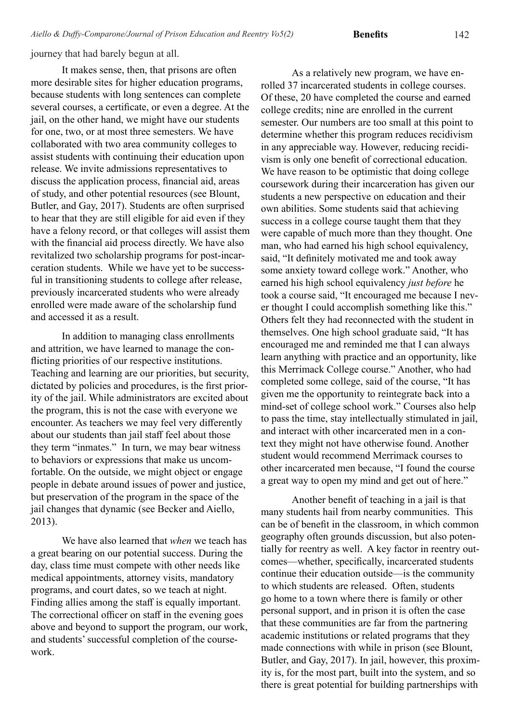**Benefits**

journey that had barely begun at all.

It makes sense, then, that prisons are often more desirable sites for higher education programs, because students with long sentences can complete several courses, a certificate, or even a degree. At the jail, on the other hand, we might have our students for one, two, or at most three semesters. We have collaborated with two area community colleges to assist students with continuing their education upon release. We invite admissions representatives to discuss the application process, financial aid, areas of study, and other potential resources (see Blount, Butler, and Gay, 2017). Students are often surprised to hear that they are still eligible for aid even if they have a felony record, or that colleges will assist them with the financial aid process directly. We have also revitalized two scholarship programs for post-incarceration students. While we have yet to be successful in transitioning students to college after release, previously incarcerated students who were already enrolled were made aware of the scholarship fund and accessed it as a result.

In addition to managing class enrollments and attrition, we have learned to manage the conflicting priorities of our respective institutions. Teaching and learning are our priorities, but security, dictated by policies and procedures, is the first priority of the jail. While administrators are excited about the program, this is not the case with everyone we encounter. As teachers we may feel very differently about our students than jail staff feel about those they term "inmates." In turn, we may bear witness to behaviors or expressions that make us uncomfortable. On the outside, we might object or engage people in debate around issues of power and justice, but preservation of the program in the space of the jail changes that dynamic (see Becker and Aiello, 2013).

We have also learned that *when* we teach has a great bearing on our potential success. During the day, class time must compete with other needs like medical appointments, attorney visits, mandatory programs, and court dates, so we teach at night. Finding allies among the staff is equally important. The correctional officer on staff in the evening goes above and beyond to support the program, our work, and students' successful completion of the coursework.

As a relatively new program, we have enrolled 37 incarcerated students in college courses. Of these, 20 have completed the course and earned college credits; nine are enrolled in the current semester. Our numbers are too small at this point to determine whether this program reduces recidivism in any appreciable way. However, reducing recidivism is only one benefit of correctional education. We have reason to be optimistic that doing college coursework during their incarceration has given our students a new perspective on education and their own abilities. Some students said that achieving success in a college course taught them that they were capable of much more than they thought. One man, who had earned his high school equivalency, said, "It definitely motivated me and took away some anxiety toward college work." Another, who earned his high school equivalency *just before* he took a course said, "It encouraged me because I never thought I could accomplish something like this." Others felt they had reconnected with the student in themselves. One high school graduate said, "It has encouraged me and reminded me that I can always learn anything with practice and an opportunity, like this Merrimack College course." Another, who had completed some college, said of the course, "It has given me the opportunity to reintegrate back into a mind-set of college school work." Courses also help to pass the time, stay intellectually stimulated in jail, and interact with other incarcerated men in a context they might not have otherwise found. Another student would recommend Merrimack courses to other incarcerated men because, "I found the course a great way to open my mind and get out of here."

Another benefit of teaching in a jail is that many students hail from nearby communities. This can be of benefit in the classroom, in which common geography often grounds discussion, but also potentially for reentry as well. A key factor in reentry outcomes—whether, specifically, incarcerated students continue their education outside—is the community to which students are released. Often, students go home to a town where there is family or other personal support, and in prison it is often the case that these communities are far from the partnering academic institutions or related programs that they made connections with while in prison (see Blount, Butler, and Gay, 2017). In jail, however, this proximity is, for the most part, built into the system, and so there is great potential for building partnerships with